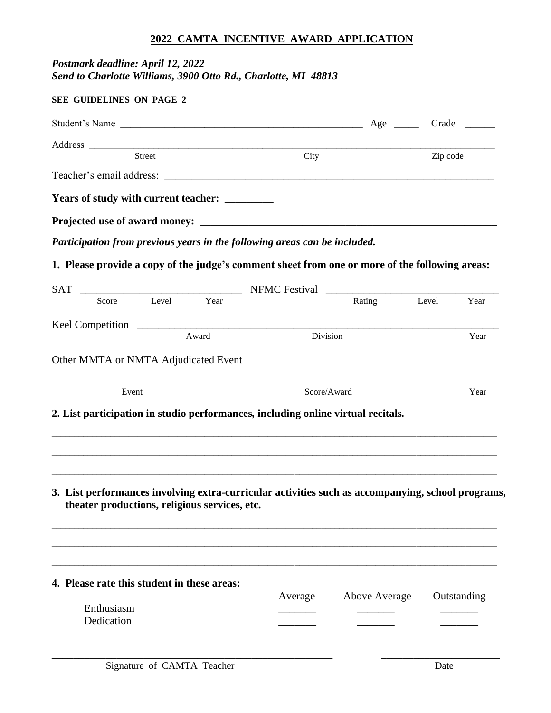### **2022 CAMTA INCENTIVE AWARD APPLICATION**

## *Postmark deadline: April 12, 2022 Send to Charlotte Williams, 3900 Otto Rd., Charlotte, MI 48813*

| <b>SEE GUIDELINES ON PAGE 2</b>               |            |             |                                                                                                   |                         |                            |             |
|-----------------------------------------------|------------|-------------|---------------------------------------------------------------------------------------------------|-------------------------|----------------------------|-------------|
|                                               |            |             |                                                                                                   |                         | Age _______ Grade ________ |             |
|                                               |            |             |                                                                                                   |                         |                            |             |
| Address Street                                |            | City        |                                                                                                   | $\overline{z}$ zip code |                            |             |
|                                               |            |             |                                                                                                   |                         |                            |             |
| Years of study with current teacher: ________ |            |             |                                                                                                   |                         |                            |             |
|                                               |            |             | Projected use of award money:                                                                     |                         |                            |             |
|                                               |            |             | Participation from previous years in the following areas can be included.                         |                         |                            |             |
|                                               |            |             | 1. Please provide a copy of the judge's comment sheet from one or more of the following areas:    |                         |                            |             |
|                                               |            |             |                                                                                                   |                         |                            |             |
| Score                                         | Level Year |             |                                                                                                   | Rating Level            |                            | Year        |
|                                               |            |             |                                                                                                   |                         |                            |             |
|                                               | Award      |             | Division                                                                                          |                         |                            | Year        |
| Other MMTA or NMTA Adjudicated Event          |            |             |                                                                                                   |                         |                            |             |
| Event                                         |            | Score/Award |                                                                                                   |                         | Year                       |             |
|                                               |            |             | 2. List participation in studio performances, including online virtual recitals.                  |                         |                            |             |
| theater productions, religious services, etc. |            |             | 3. List performances involving extra-curricular activities such as accompanying, school programs, |                         |                            |             |
| 4. Please rate this student in these areas:   |            |             | Average                                                                                           | <b>Above Average</b>    |                            | Outstanding |
| Enthusiasm<br>Dedication                      |            |             |                                                                                                   |                         |                            |             |

\_\_\_\_\_\_\_\_\_\_\_\_\_\_\_\_\_\_\_\_\_\_\_\_\_\_\_\_\_\_\_\_\_\_\_\_\_\_\_\_\_\_\_\_\_\_\_\_\_\_\_\_ \_\_\_\_\_\_\_\_\_\_\_\_\_\_\_\_\_\_\_\_\_\_